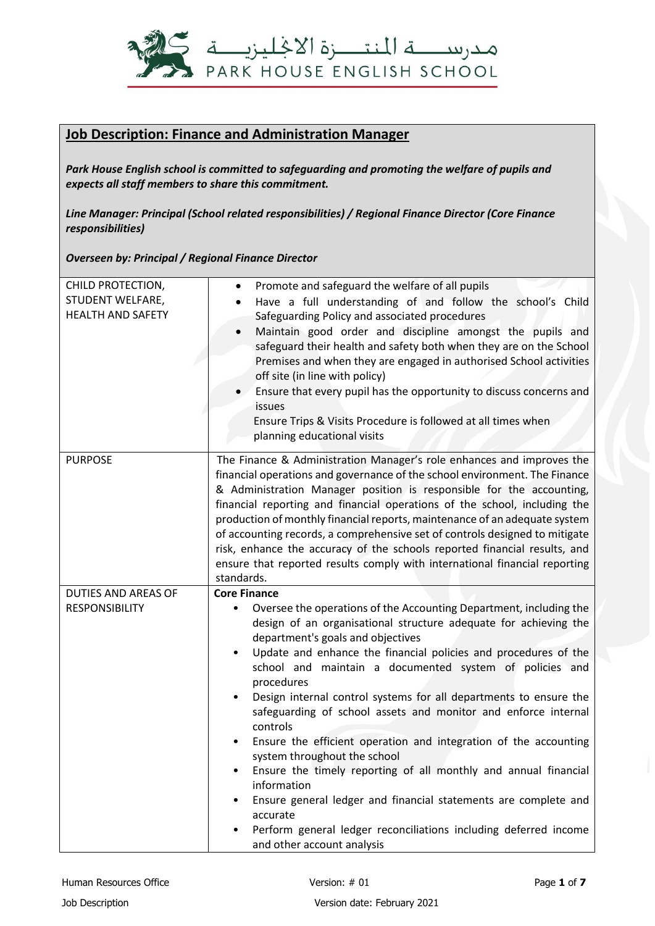

## **Job Description: Finance and Administration Manager**

*Park House English school is committed to safeguarding and promoting the welfare of pupils and expects all staff members to share this commitment.*

*Line Manager: Principal (School related responsibilities) / Regional Finance Director (Core Finance responsibilities)*

*Overseen by: Principal / Regional Finance Director*

| CHILD PROTECTION,<br>STUDENT WELFARE,<br><b>HEALTH AND SAFETY</b> | Promote and safeguard the welfare of all pupils<br>Have a full understanding of and follow the school's Child<br>Safeguarding Policy and associated procedures<br>Maintain good order and discipline amongst the pupils and<br>safeguard their health and safety both when they are on the School<br>Premises and when they are engaged in authorised School activities<br>off site (in line with policy)<br>Ensure that every pupil has the opportunity to discuss concerns and<br>issues<br>Ensure Trips & Visits Procedure is followed at all times when<br>planning educational visits                                                                                                                                                                                                                                                                                  |
|-------------------------------------------------------------------|-----------------------------------------------------------------------------------------------------------------------------------------------------------------------------------------------------------------------------------------------------------------------------------------------------------------------------------------------------------------------------------------------------------------------------------------------------------------------------------------------------------------------------------------------------------------------------------------------------------------------------------------------------------------------------------------------------------------------------------------------------------------------------------------------------------------------------------------------------------------------------|
| <b>PURPOSE</b>                                                    | The Finance & Administration Manager's role enhances and improves the<br>financial operations and governance of the school environment. The Finance<br>& Administration Manager position is responsible for the accounting,<br>financial reporting and financial operations of the school, including the<br>production of monthly financial reports, maintenance of an adequate system<br>of accounting records, a comprehensive set of controls designed to mitigate<br>risk, enhance the accuracy of the schools reported financial results, and<br>ensure that reported results comply with international financial reporting<br>standards.                                                                                                                                                                                                                              |
| DUTIES AND AREAS OF                                               | <b>Core Finance</b>                                                                                                                                                                                                                                                                                                                                                                                                                                                                                                                                                                                                                                                                                                                                                                                                                                                         |
| <b>RESPONSIBILITY</b>                                             | Oversee the operations of the Accounting Department, including the<br>design of an organisational structure adequate for achieving the<br>department's goals and objectives<br>Update and enhance the financial policies and procedures of the<br>$\bullet$<br>school and maintain a documented system of policies and<br>procedures<br>Design internal control systems for all departments to ensure the<br>safeguarding of school assets and monitor and enforce internal<br>controls<br>Ensure the efficient operation and integration of the accounting<br>$\bullet$<br>system throughout the school<br>Ensure the timely reporting of all monthly and annual financial<br>information<br>Ensure general ledger and financial statements are complete and<br>accurate<br>Perform general ledger reconciliations including deferred income<br>and other account analysis |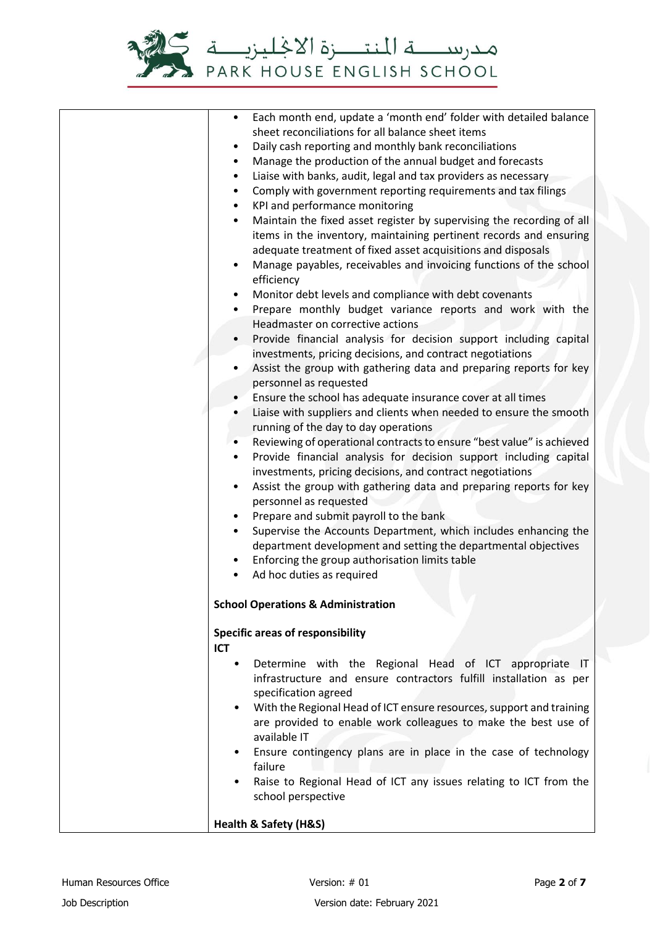

| Each month end, update a 'month end' folder with detailed balance<br>$\bullet$                                                                      |
|-----------------------------------------------------------------------------------------------------------------------------------------------------|
| sheet reconciliations for all balance sheet items                                                                                                   |
| Daily cash reporting and monthly bank reconciliations<br>$\bullet$                                                                                  |
| Manage the production of the annual budget and forecasts<br>$\bullet$                                                                               |
| Liaise with banks, audit, legal and tax providers as necessary<br>$\bullet$                                                                         |
| Comply with government reporting requirements and tax filings<br>$\bullet$                                                                          |
| KPI and performance monitoring<br>$\bullet$                                                                                                         |
| Maintain the fixed asset register by supervising the recording of all<br>$\bullet$                                                                  |
| items in the inventory, maintaining pertinent records and ensuring                                                                                  |
| adequate treatment of fixed asset acquisitions and disposals                                                                                        |
| Manage payables, receivables and invoicing functions of the school<br>$\bullet$                                                                     |
| efficiency                                                                                                                                          |
| Monitor debt levels and compliance with debt covenants<br>$\bullet$                                                                                 |
| Prepare monthly budget variance reports and work with the<br>$\bullet$                                                                              |
| Headmaster on corrective actions                                                                                                                    |
| Provide financial analysis for decision support including capital                                                                                   |
| investments, pricing decisions, and contract negotiations                                                                                           |
| Assist the group with gathering data and preparing reports for key<br>$\bullet$                                                                     |
| personnel as requested                                                                                                                              |
| Ensure the school has adequate insurance cover at all times                                                                                         |
| Liaise with suppliers and clients when needed to ensure the smooth<br>$\bullet$                                                                     |
| running of the day to day operations                                                                                                                |
| Reviewing of operational contracts to ensure "best value" is achieved<br>$\bullet$                                                                  |
| Provide financial analysis for decision support including capital<br>$\bullet$                                                                      |
| investments, pricing decisions, and contract negotiations<br>Assist the group with gathering data and preparing reports for key<br>$\bullet$        |
| personnel as requested                                                                                                                              |
| Prepare and submit payroll to the bank<br>$\bullet$                                                                                                 |
| Supervise the Accounts Department, which includes enhancing the<br>$\bullet$                                                                        |
| department development and setting the departmental objectives                                                                                      |
| Enforcing the group authorisation limits table<br>$\bullet$                                                                                         |
| Ad hoc duties as required<br>$\bullet$                                                                                                              |
|                                                                                                                                                     |
| <b>School Operations &amp; Administration</b>                                                                                                       |
|                                                                                                                                                     |
| <b>Specific areas of responsibility</b>                                                                                                             |
| ICT                                                                                                                                                 |
| Determine with the Regional Head of ICT appropriate IT<br>٠                                                                                         |
| infrastructure and ensure contractors fulfill installation as per                                                                                   |
| specification agreed                                                                                                                                |
| With the Regional Head of ICT ensure resources, support and training<br>$\bullet$<br>are provided to enable work colleagues to make the best use of |
| available IT                                                                                                                                        |
| Ensure contingency plans are in place in the case of technology<br>$\bullet$                                                                        |
| failure                                                                                                                                             |
| Raise to Regional Head of ICT any issues relating to ICT from the                                                                                   |
| school perspective                                                                                                                                  |
|                                                                                                                                                     |
| Health & Safety (H&S)                                                                                                                               |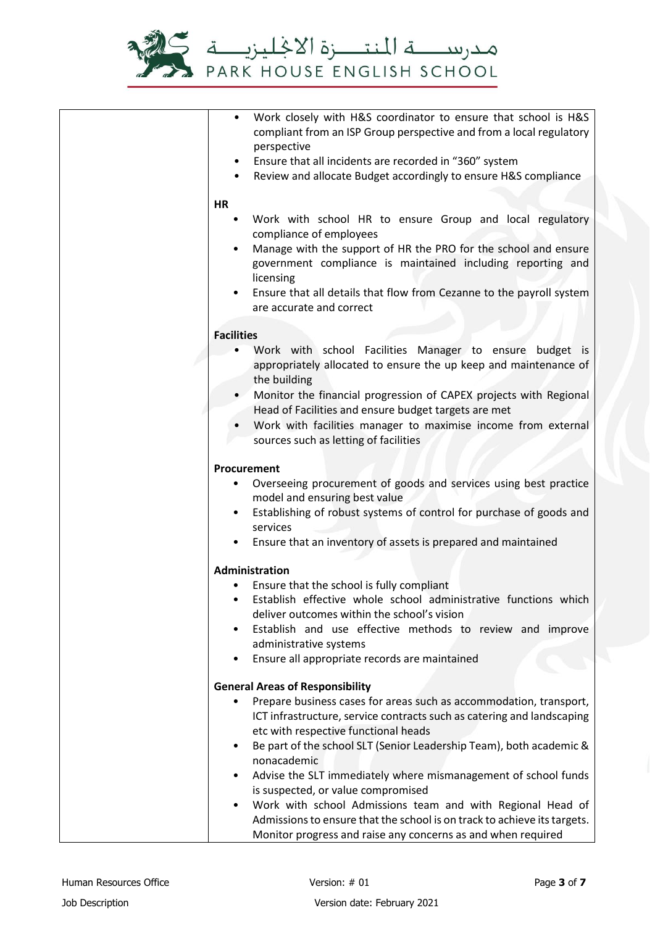

|                   | Work closely with H&S coordinator to ensure that school is H&S<br>compliant from an ISP Group perspective and from a local regulatory |
|-------------------|---------------------------------------------------------------------------------------------------------------------------------------|
|                   | perspective                                                                                                                           |
|                   | Ensure that all incidents are recorded in "360" system                                                                                |
|                   | Review and allocate Budget accordingly to ensure H&S compliance                                                                       |
| <b>HR</b>         |                                                                                                                                       |
| ٠                 | Work with school HR to ensure Group and local regulatory                                                                              |
|                   | compliance of employees                                                                                                               |
| $\bullet$         | Manage with the support of HR the PRO for the school and ensure                                                                       |
|                   | government compliance is maintained including reporting and                                                                           |
|                   | licensing                                                                                                                             |
|                   | Ensure that all details that flow from Cezanne to the payroll system                                                                  |
|                   | are accurate and correct                                                                                                              |
| <b>Facilities</b> |                                                                                                                                       |
|                   | Work with school Facilities Manager to ensure budget is                                                                               |
|                   | appropriately allocated to ensure the up keep and maintenance of                                                                      |
|                   | the building                                                                                                                          |
|                   | Monitor the financial progression of CAPEX projects with Regional                                                                     |
|                   | Head of Facilities and ensure budget targets are met                                                                                  |
|                   | Work with facilities manager to maximise income from external                                                                         |
|                   | sources such as letting of facilities                                                                                                 |
|                   | Procurement                                                                                                                           |
|                   | Overseeing procurement of goods and services using best practice                                                                      |
|                   | model and ensuring best value                                                                                                         |
|                   | Establishing of robust systems of control for purchase of goods and                                                                   |
|                   | services                                                                                                                              |
|                   | Ensure that an inventory of assets is prepared and maintained                                                                         |
|                   | <b>Administration</b>                                                                                                                 |
|                   | Ensure that the school is fully compliant                                                                                             |
|                   | Establish effective whole school administrative functions which                                                                       |
|                   | deliver outcomes within the school's vision                                                                                           |
| ٠                 | Establish and use effective methods to review and improve                                                                             |
| $\bullet$         | administrative systems<br>Ensure all appropriate records are maintained                                                               |
|                   |                                                                                                                                       |
|                   | <b>General Areas of Responsibility</b>                                                                                                |
|                   | Prepare business cases for areas such as accommodation, transport,                                                                    |
|                   | ICT infrastructure, service contracts such as catering and landscaping                                                                |
|                   | etc with respective functional heads                                                                                                  |
| ٠                 | Be part of the school SLT (Senior Leadership Team), both academic &<br>nonacademic                                                    |
| ٠                 | Advise the SLT immediately where mismanagement of school funds                                                                        |
|                   | is suspected, or value compromised                                                                                                    |
|                   | Work with school Admissions team and with Regional Head of                                                                            |
|                   | Admissions to ensure that the school is on track to achieve its targets.                                                              |
|                   | Monitor progress and raise any concerns as and when required                                                                          |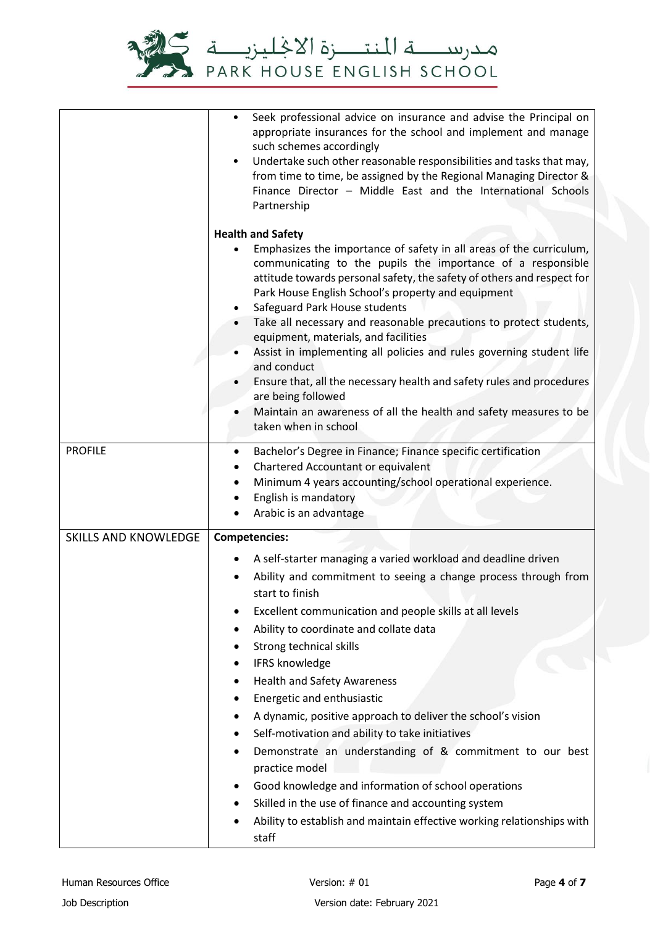

|                             | Seek professional advice on insurance and advise the Principal on<br>appropriate insurances for the school and implement and manage<br>such schemes accordingly<br>Undertake such other reasonable responsibilities and tasks that may,<br>$\bullet$<br>from time to time, be assigned by the Regional Managing Director &<br>Finance Director - Middle East and the International Schools<br>Partnership |  |
|-----------------------------|-----------------------------------------------------------------------------------------------------------------------------------------------------------------------------------------------------------------------------------------------------------------------------------------------------------------------------------------------------------------------------------------------------------|--|
|                             | <b>Health and Safety</b>                                                                                                                                                                                                                                                                                                                                                                                  |  |
|                             | Emphasizes the importance of safety in all areas of the curriculum,<br>$\bullet$<br>communicating to the pupils the importance of a responsible<br>attitude towards personal safety, the safety of others and respect for<br>Park House English School's property and equipment                                                                                                                           |  |
|                             | Safeguard Park House students<br>Take all necessary and reasonable precautions to protect students,<br>equipment, materials, and facilities                                                                                                                                                                                                                                                               |  |
|                             | Assist in implementing all policies and rules governing student life<br>and conduct                                                                                                                                                                                                                                                                                                                       |  |
|                             | Ensure that, all the necessary health and safety rules and procedures<br>are being followed                                                                                                                                                                                                                                                                                                               |  |
|                             | Maintain an awareness of all the health and safety measures to be<br>taken when in school                                                                                                                                                                                                                                                                                                                 |  |
| <b>PROFILE</b>              | Bachelor's Degree in Finance; Finance specific certification<br>٠<br>Chartered Accountant or equivalent<br>Minimum 4 years accounting/school operational experience.<br>English is mandatory<br>Arabic is an advantage                                                                                                                                                                                    |  |
| <b>SKILLS AND KNOWLEDGE</b> | <b>Competencies:</b>                                                                                                                                                                                                                                                                                                                                                                                      |  |
|                             | A self-starter managing a varied workload and deadline driven<br>Ability and commitment to seeing a change process through from<br>start to finish<br>Excellent communication and people skills at all levels<br>٠                                                                                                                                                                                        |  |
|                             | Ability to coordinate and collate data                                                                                                                                                                                                                                                                                                                                                                    |  |
|                             | Strong technical skills                                                                                                                                                                                                                                                                                                                                                                                   |  |
|                             | IFRS knowledge<br>٠                                                                                                                                                                                                                                                                                                                                                                                       |  |
|                             | <b>Health and Safety Awareness</b>                                                                                                                                                                                                                                                                                                                                                                        |  |
|                             | Energetic and enthusiastic                                                                                                                                                                                                                                                                                                                                                                                |  |
|                             | A dynamic, positive approach to deliver the school's vision<br>٠                                                                                                                                                                                                                                                                                                                                          |  |
|                             | Self-motivation and ability to take initiatives<br>Demonstrate an understanding of & commitment to our best                                                                                                                                                                                                                                                                                               |  |
|                             | practice model                                                                                                                                                                                                                                                                                                                                                                                            |  |
|                             | Good knowledge and information of school operations                                                                                                                                                                                                                                                                                                                                                       |  |
|                             | Skilled in the use of finance and accounting system                                                                                                                                                                                                                                                                                                                                                       |  |
|                             | Ability to establish and maintain effective working relationships with<br>staff                                                                                                                                                                                                                                                                                                                           |  |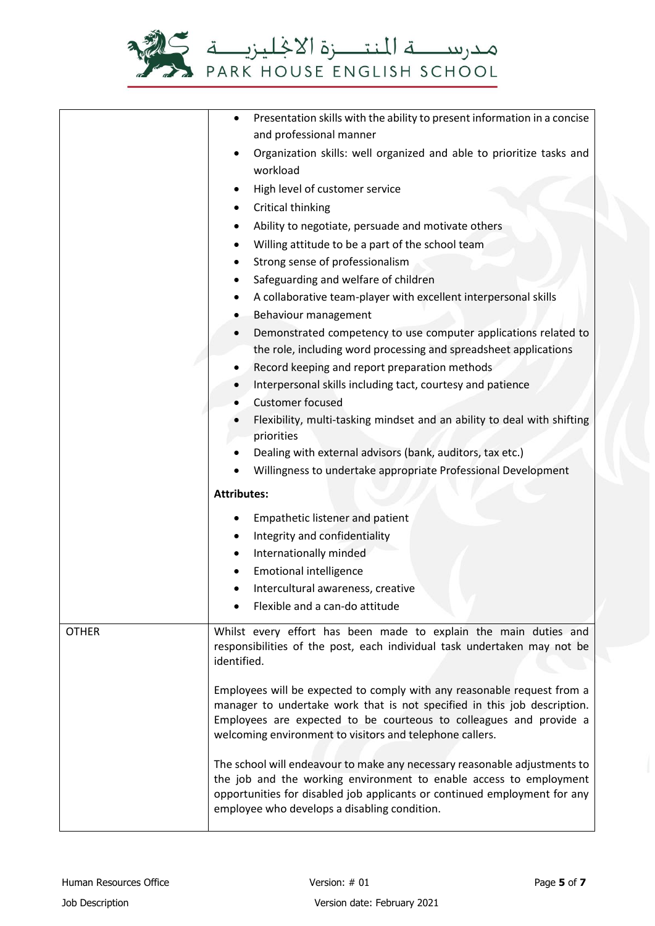

|              | Presentation skills with the ability to present information in a concise<br>$\bullet$                                                                                                                                                                                                                                                                                                                                                                                                                                                                                 |  |
|--------------|-----------------------------------------------------------------------------------------------------------------------------------------------------------------------------------------------------------------------------------------------------------------------------------------------------------------------------------------------------------------------------------------------------------------------------------------------------------------------------------------------------------------------------------------------------------------------|--|
|              | and professional manner                                                                                                                                                                                                                                                                                                                                                                                                                                                                                                                                               |  |
|              | Organization skills: well organized and able to prioritize tasks and                                                                                                                                                                                                                                                                                                                                                                                                                                                                                                  |  |
|              | workload                                                                                                                                                                                                                                                                                                                                                                                                                                                                                                                                                              |  |
|              | High level of customer service<br>٠                                                                                                                                                                                                                                                                                                                                                                                                                                                                                                                                   |  |
|              | Critical thinking                                                                                                                                                                                                                                                                                                                                                                                                                                                                                                                                                     |  |
|              | Ability to negotiate, persuade and motivate others                                                                                                                                                                                                                                                                                                                                                                                                                                                                                                                    |  |
|              | Willing attitude to be a part of the school team                                                                                                                                                                                                                                                                                                                                                                                                                                                                                                                      |  |
|              | Strong sense of professionalism                                                                                                                                                                                                                                                                                                                                                                                                                                                                                                                                       |  |
|              | Safeguarding and welfare of children                                                                                                                                                                                                                                                                                                                                                                                                                                                                                                                                  |  |
|              | A collaborative team-player with excellent interpersonal skills                                                                                                                                                                                                                                                                                                                                                                                                                                                                                                       |  |
|              | Behaviour management                                                                                                                                                                                                                                                                                                                                                                                                                                                                                                                                                  |  |
|              | Demonstrated competency to use computer applications related to                                                                                                                                                                                                                                                                                                                                                                                                                                                                                                       |  |
|              | the role, including word processing and spreadsheet applications                                                                                                                                                                                                                                                                                                                                                                                                                                                                                                      |  |
|              | Record keeping and report preparation methods<br>٠                                                                                                                                                                                                                                                                                                                                                                                                                                                                                                                    |  |
|              | Interpersonal skills including tact, courtesy and patience                                                                                                                                                                                                                                                                                                                                                                                                                                                                                                            |  |
|              | <b>Customer focused</b>                                                                                                                                                                                                                                                                                                                                                                                                                                                                                                                                               |  |
|              | Flexibility, multi-tasking mindset and an ability to deal with shifting                                                                                                                                                                                                                                                                                                                                                                                                                                                                                               |  |
|              | priorities                                                                                                                                                                                                                                                                                                                                                                                                                                                                                                                                                            |  |
|              | Dealing with external advisors (bank, auditors, tax etc.)                                                                                                                                                                                                                                                                                                                                                                                                                                                                                                             |  |
|              | Willingness to undertake appropriate Professional Development                                                                                                                                                                                                                                                                                                                                                                                                                                                                                                         |  |
|              | <b>Attributes:</b>                                                                                                                                                                                                                                                                                                                                                                                                                                                                                                                                                    |  |
|              | Empathetic listener and patient                                                                                                                                                                                                                                                                                                                                                                                                                                                                                                                                       |  |
|              | Integrity and confidentiality                                                                                                                                                                                                                                                                                                                                                                                                                                                                                                                                         |  |
|              | Internationally minded                                                                                                                                                                                                                                                                                                                                                                                                                                                                                                                                                |  |
|              | <b>Emotional intelligence</b>                                                                                                                                                                                                                                                                                                                                                                                                                                                                                                                                         |  |
|              | Intercultural awareness, creative                                                                                                                                                                                                                                                                                                                                                                                                                                                                                                                                     |  |
|              | Flexible and a can-do attitude                                                                                                                                                                                                                                                                                                                                                                                                                                                                                                                                        |  |
| <b>OTHER</b> | Whilst every effort has been made to explain the main duties and<br>responsibilities of the post, each individual task undertaken may not be<br>identified.                                                                                                                                                                                                                                                                                                                                                                                                           |  |
|              | Employees will be expected to comply with any reasonable request from a<br>manager to undertake work that is not specified in this job description.<br>Employees are expected to be courteous to colleagues and provide a<br>welcoming environment to visitors and telephone callers.<br>The school will endeavour to make any necessary reasonable adjustments to<br>the job and the working environment to enable access to employment<br>opportunities for disabled job applicants or continued employment for any<br>employee who develops a disabling condition. |  |
|              |                                                                                                                                                                                                                                                                                                                                                                                                                                                                                                                                                                       |  |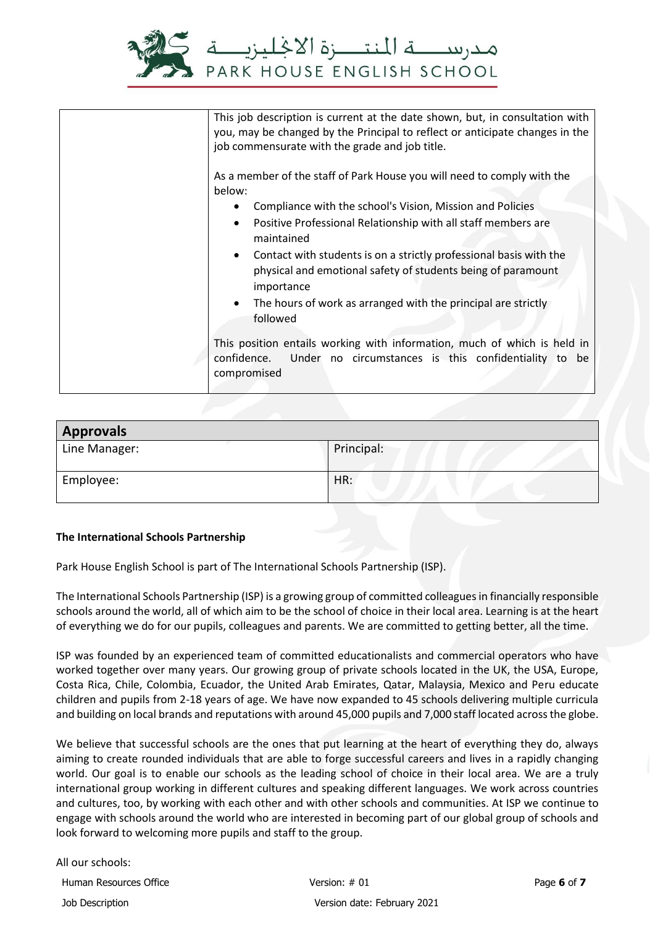

| This job description is current at the date shown, but, in consultation with<br>you, may be changed by the Principal to reflect or anticipate changes in the<br>job commensurate with the grade and job title.                                                                                                                                                                                                                                                                                                                                                                                                                                                                       |
|--------------------------------------------------------------------------------------------------------------------------------------------------------------------------------------------------------------------------------------------------------------------------------------------------------------------------------------------------------------------------------------------------------------------------------------------------------------------------------------------------------------------------------------------------------------------------------------------------------------------------------------------------------------------------------------|
| As a member of the staff of Park House you will need to comply with the<br>below:<br>Compliance with the school's Vision, Mission and Policies<br>$\bullet$<br>Positive Professional Relationship with all staff members are<br>$\bullet$<br>maintained<br>Contact with students is on a strictly professional basis with the<br>$\bullet$<br>physical and emotional safety of students being of paramount<br>importance<br>The hours of work as arranged with the principal are strictly<br>$\bullet$<br>followed<br>This position entails working with information, much of which is held in<br>confidence.<br>Under no circumstances is this confidentiality to be<br>compromised |
|                                                                                                                                                                                                                                                                                                                                                                                                                                                                                                                                                                                                                                                                                      |

| <b>Approvals</b> |            |
|------------------|------------|
| Line Manager:    | Principal: |
| Employee:        | HR:        |

## **The International Schools Partnership**

Park House English School is part of The International Schools Partnership (ISP).

The International Schools Partnership (ISP) is a growing group of committed colleagues in financially responsible schools around the world, all of which aim to be the school of choice in their local area. Learning is at the heart of everything we do for our pupils, colleagues and parents. We are committed to getting better, all the time.

ISP was founded by an experienced team of committed educationalists and commercial operators who have worked together over many years. Our growing group of private schools located in the UK, the USA, Europe, Costa Rica, Chile, Colombia, Ecuador, the United Arab Emirates, Qatar, Malaysia, Mexico and Peru educate children and pupils from 2-18 years of age. We have now expanded to 45 schools delivering multiple curricula and building on local brands and reputations with around 45,000 pupils and 7,000 staff located across the globe.

We believe that successful schools are the ones that put learning at the heart of everything they do, always aiming to create rounded individuals that are able to forge successful careers and lives in a rapidly changing world. Our goal is to enable our schools as the leading school of choice in their local area. We are a truly international group working in different cultures and speaking different languages. We work across countries and cultures, too, by working with each other and with other schools and communities. At ISP we continue to engage with schools around the world who are interested in becoming part of our global group of schools and look forward to welcoming more pupils and staff to the group.

All our schools: